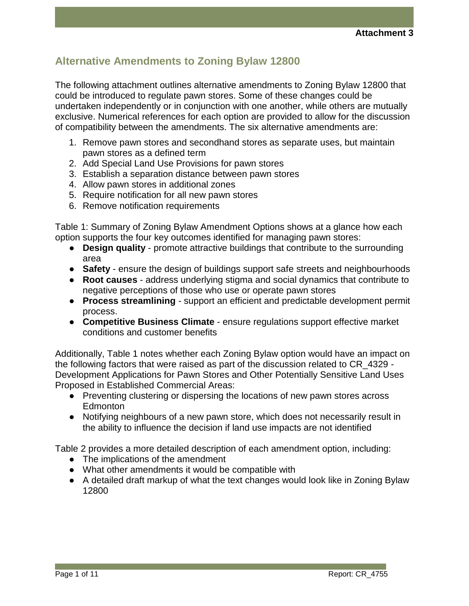# **Alternative Amendments to Zoning Bylaw 12800**

The following attachment outlines alternative amendments to Zoning Bylaw 12800 that could be introduced to regulate pawn stores. Some of these changes could be undertaken independently or in conjunction with one another, while others are mutually exclusive. Numerical references for each option are provided to allow for the discussion of compatibility between the amendments. The six alternative amendments are:

- 1. Remove pawn stores and secondhand stores as separate uses, but maintain pawn stores as a defined term
- 2. Add Special Land Use Provisions for pawn stores
- 3. Establish a separation distance between pawn stores
- 4. Allow pawn stores in additional zones
- 5. Require notification for all new pawn stores
- 6. Remove notification requirements

Table 1: Summary of Zoning Bylaw Amendment Options shows at a glance how each option supports the four key outcomes identified for managing pawn stores:

- **Design quality** promote attractive buildings that contribute to the surrounding area
- **Safety** ensure the design of buildings support safe streets and neighbourhoods
- **Root causes** address underlying stigma and social dynamics that contribute to negative perceptions of those who use or operate pawn stores
- **Process streamlining** support an efficient and predictable development permit process.
- **Competitive Business Climate** ensure regulations support effective market conditions and customer benefits

Additionally, Table 1 notes whether each Zoning Bylaw option would have an impact on the following factors that were raised as part of the discussion related to CR\_4329 - Development Applications for Pawn Stores and Other Potentially Sensitive Land Uses Proposed in Established Commercial Areas:

- Preventing clustering or dispersing the locations of new pawn stores across Edmonton
- Notifying neighbours of a new pawn store, which does not necessarily result in the ability to influence the decision if land use impacts are not identified

Table 2 provides a more detailed description of each amendment option, including:

- The implications of the amendment
- What other amendments it would be compatible with
- A detailed draft markup of what the text changes would look like in Zoning Bylaw 12800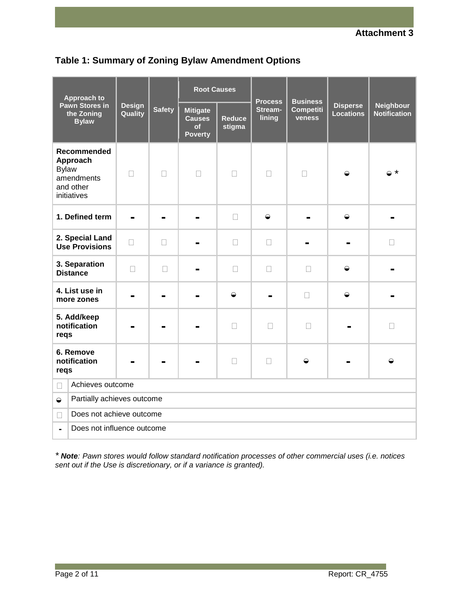

|                                                                    | <b>Approach to</b>         |                          |               | <b>Root Causes</b>                                       |                         | <b>Process</b><br>Stream-<br>lining | <b>Business</b><br><b>Competiti</b><br>veness | <b>Disperse</b><br><b>Locations</b> | <b>Neighbour</b><br><b>Notification</b> |
|--------------------------------------------------------------------|----------------------------|--------------------------|---------------|----------------------------------------------------------|-------------------------|-------------------------------------|-----------------------------------------------|-------------------------------------|-----------------------------------------|
| <b>Pawn Stores in</b><br>the Zoning<br><b>Bylaw</b>                |                            | <b>Design</b><br>Quality | <b>Safety</b> | <b>Mitigate</b><br><b>Causes</b><br>of<br><b>Poverty</b> | <b>Reduce</b><br>stigma |                                     |                                               |                                     |                                         |
| Approach<br><b>Bylaw</b><br>amendments<br>and other<br>initiatives | Recommended                | $\mathbf{I}$             | $\Box$        | П                                                        | $\Box$                  | $\overline{\phantom{a}}$            | П                                             | ◒                                   | $\circ$ *                               |
| 1. Defined term                                                    |                            |                          |               |                                                          | $\Box$                  | $\ominus$                           |                                               | $\ominus$                           |                                         |
| 2. Special Land<br><b>Use Provisions</b>                           |                            | $\Box$                   | $\Box$        |                                                          | $\Box$                  | $\Box$                              |                                               |                                     | $\Box$                                  |
| 3. Separation<br><b>Distance</b>                                   |                            | $\Box$                   | $\Box$        |                                                          | $\Box$                  | $\Box$                              | $\Box$                                        | $\ominus$                           |                                         |
| 4. List use in<br>more zones                                       |                            |                          |               |                                                          | $\bullet$               |                                     | $\Box$                                        | $\ominus$                           |                                         |
| 5. Add/keep<br>notification<br>reqs                                |                            |                          |               |                                                          | П                       | $\Box$                              | $\Box$                                        |                                     | $\Box$                                  |
| 6. Remove<br>notification<br>reqs                                  |                            |                          |               |                                                          | $\Box$                  | $\Box$                              | $\ominus$                                     |                                     | $\Rightarrow$                           |
| $\Box$                                                             | Achieves outcome           |                          |               |                                                          |                         |                                     |                                               |                                     |                                         |
| $\rightarrow$                                                      | Partially achieves outcome |                          |               |                                                          |                         |                                     |                                               |                                     |                                         |
| $\Box$                                                             | Does not achieve outcome   |                          |               |                                                          |                         |                                     |                                               |                                     |                                         |
| $\blacksquare$                                                     | Does not influence outcome |                          |               |                                                          |                         |                                     |                                               |                                     |                                         |

*\* Note: Pawn stores would follow standard notification processes of other commercial uses (i.e. notices sent out if the Use is discretionary, or if a variance is granted).*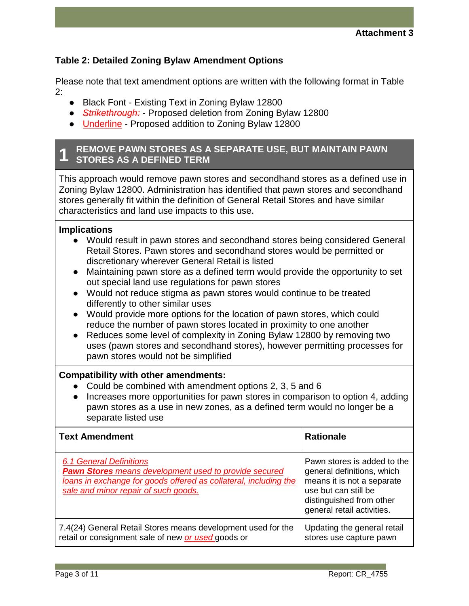### **Table 2: Detailed Zoning Bylaw Amendment Options**

Please note that text amendment options are written with the following format in Table 2:

- Black Font Existing Text in Zoning Bylaw 12800
- *Strikethrough:* Proposed deletion from Zoning Bylaw 12800
- Underline Proposed addition to Zoning Bylaw 12800

#### **1 REMOVE PAWN STORES AS A SEPARATE USE, BUT MAINTAIN PAWN STORES AS A DEFINED TERM**

This approach would remove pawn stores and secondhand stores as a defined use in Zoning Bylaw 12800. Administration has identified that pawn stores and secondhand stores generally fit within the definition of General Retail Stores and have similar characteristics and land use impacts to this use.

### **Implications**

- Would result in pawn stores and secondhand stores being considered General Retail Stores. Pawn stores and secondhand stores would be permitted or discretionary wherever General Retail is listed
- Maintaining pawn store as a defined term would provide the opportunity to set out special land use regulations for pawn stores
- Would not reduce stigma as pawn stores would continue to be treated differently to other similar uses
- Would provide more options for the location of pawn stores, which could reduce the number of pawn stores located in proximity to one another
- Reduces some level of complexity in Zoning Bylaw 12800 by removing two uses (pawn stores and secondhand stores), however permitting processes for pawn stores would not be simplified

### **Compatibility with other amendments:**

- Could be combined with amendment options 2, 3, 5 and 6
- Increases more opportunities for pawn stores in comparison to option 4, adding pawn stores as a use in new zones, as a defined term would no longer be a separate listed use

| <b>Text Amendment</b>                                                                                                                                                                                      | <b>Rationale</b>                                                                                                                                                          |
|------------------------------------------------------------------------------------------------------------------------------------------------------------------------------------------------------------|---------------------------------------------------------------------------------------------------------------------------------------------------------------------------|
| <b>6.1 General Definitions</b><br><b>Pawn Stores</b> means development used to provide secured<br>loans in exchange for goods offered as collateral, including the<br>sale and minor repair of such goods. | Pawn stores is added to the<br>general definitions, which<br>means it is not a separate<br>use but can still be<br>distinguished from other<br>general retail activities. |
| 7.4(24) General Retail Stores means development used for the<br>retail or consignment sale of new or used goods or                                                                                         | Updating the general retail<br>stores use capture pawn                                                                                                                    |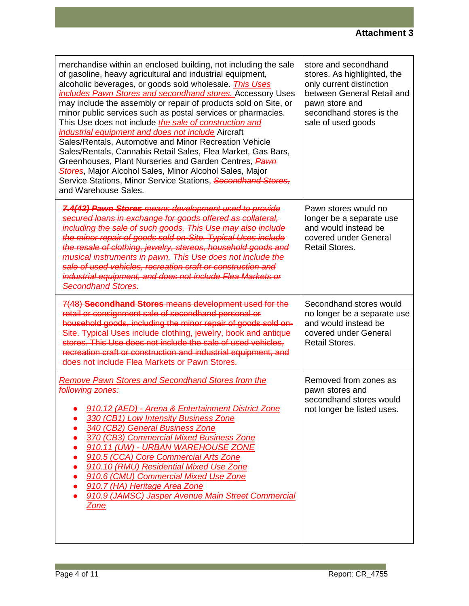| merchandise within an enclosed building, not including the sale<br>of gasoline, heavy agricultural and industrial equipment,<br>alcoholic beverages, or goods sold wholesale. <i>This Uses</i><br>includes Pawn Stores and secondhand stores. Accessory Uses<br>may include the assembly or repair of products sold on Site, or<br>minor public services such as postal services or pharmacies.<br>This Use does not include <i>the sale of construction and</i><br>industrial equipment and does not include Aircraft<br>Sales/Rentals, Automotive and Minor Recreation Vehicle<br>Sales/Rentals, Cannabis Retail Sales, Flea Market, Gas Bars,<br>Greenhouses, Plant Nurseries and Garden Centres, Pawn<br>Stores, Major Alcohol Sales, Minor Alcohol Sales, Major<br>Service Stations, Minor Service Stations, Secondhand Stores,<br>and Warehouse Sales. | store and secondhand<br>stores. As highlighted, the<br>only current distinction<br>between General Retail and<br>pawn store and<br>secondhand stores is the<br>sale of used goods |
|--------------------------------------------------------------------------------------------------------------------------------------------------------------------------------------------------------------------------------------------------------------------------------------------------------------------------------------------------------------------------------------------------------------------------------------------------------------------------------------------------------------------------------------------------------------------------------------------------------------------------------------------------------------------------------------------------------------------------------------------------------------------------------------------------------------------------------------------------------------|-----------------------------------------------------------------------------------------------------------------------------------------------------------------------------------|
| 7.4(42) Pawn Stores means development used to provide<br>secured loans in exchange for goods offered as collateral,<br>including the sale of such goods. This Use may also include<br>the minor repair of goods sold on-Site. Typical Uses include<br>the resale of clothing, jewelry, stereos, household goods and<br>musical instruments in pawn. This Use does not include the<br>sale of used vehicles, recreation craft or construction and<br>industrial equipment, and does not include Flea Markets or<br>Secondhand Stores.                                                                                                                                                                                                                                                                                                                         | Pawn stores would no<br>longer be a separate use<br>and would instead be<br>covered under General<br><b>Retail Stores.</b>                                                        |
| 7(48) Secondhand Stores means development used for the<br>retail or consignment sale of secondhand personal or<br>household goods, including the minor repair of goods sold on-<br>Site. Typical Uses include clothing, jewelry, book and antique<br>stores. This Use does not include the sale of used vehicles,<br>recreation craft or construction and industrial equipment, and<br>does not include Flea Markets or Pawn Stores.                                                                                                                                                                                                                                                                                                                                                                                                                         | Secondhand stores would<br>no longer be a separate use<br>and would instead be<br>covered under General<br><b>Retail Stores.</b>                                                  |
| <b>Remove Pawn Stores and Secondhand Stores from the</b><br>following zones:<br>910.12 (AED) - Arena & Entertainment District Zone<br>330 (CB1) Low Intensity Business Zone<br>340 (CB2) General Business Zone<br>370 (CB3) Commercial Mixed Business Zone<br>910.11 (UW) - URBAN WAREHOUSE ZONE<br>910.5 (CCA) Core Commercial Arts Zone<br>910.10 (RMU) Residential Mixed Use Zone<br>910.6 (CMU) Commercial Mixed Use Zone<br>910.7 (HA) Heritage Area Zone<br>910.9 (JAMSC) Jasper Avenue Main Street Commercial<br>Zone                                                                                                                                                                                                                                                                                                                                 | Removed from zones as<br>pawn stores and<br>secondhand stores would<br>not longer be listed uses.                                                                                 |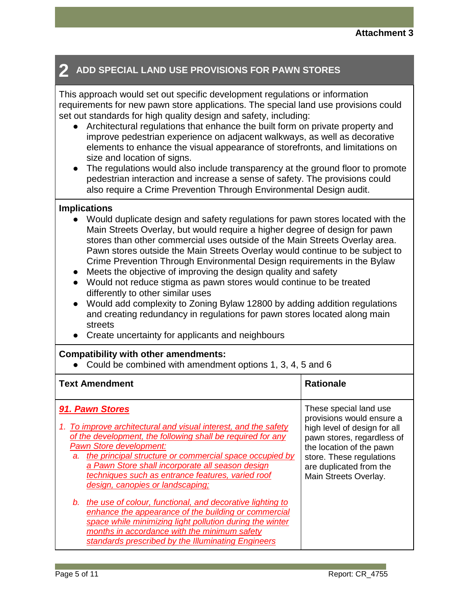# **2 ADD SPECIAL LAND USE PROVISIONS FOR PAWN STORES**

This approach would set out specific development regulations or information requirements for new pawn store applications. The special land use provisions could set out standards for high quality design and safety, including:

- Architectural regulations that enhance the built form on private property and improve pedestrian experience on adjacent walkways, as well as decorative elements to enhance the visual appearance of storefronts, and limitations on size and location of signs.
- The regulations would also include transparency at the ground floor to promote pedestrian interaction and increase a sense of safety. The provisions could also require a Crime Prevention Through Environmental Design audit.

### **Implications**

- Would duplicate design and safety regulations for pawn stores located with the Main Streets Overlay, but would require a higher degree of design for pawn stores than other commercial uses outside of the Main Streets Overlay area. Pawn stores outside the Main Streets Overlay would continue to be subject to Crime Prevention Through Environmental Design requirements in the Bylaw
- Meets the objective of improving the design quality and safety
- Would not reduce stigma as pawn stores would continue to be treated differently to other similar uses
- Would add complexity to Zoning Bylaw 12800 by adding addition regulations and creating redundancy in regulations for pawn stores located along main streets
- Create uncertainty for applicants and neighbours

### **Compatibility with other amendments:**

● Could be combined with amendment options 1, 3, 4, 5 and 6

| These special land use<br>91. Pawn Stores<br>provisions would ensure a<br>1. To improve architectural and visual interest, and the safety<br>high level of design for all<br>of the development, the following shall be required for any<br>pawn stores, regardless of<br><b>Pawn Store development:</b><br>the location of the pawn<br>the principal structure or commercial space occupied by<br>a.<br>store. These regulations<br>a Pawn Store shall incorporate all season design<br>are duplicated from the<br>techniques such as entrance features, varied roof<br>Main Streets Overlay.<br>design, canopies or landscaping;<br>the use of colour, functional, and decorative lighting to<br>b.<br>enhance the appearance of the building or commercial<br>space while minimizing light pollution during the winter<br>months in accordance with the minimum safety | <b>Text Amendment</b> | <b>Rationale</b> |
|---------------------------------------------------------------------------------------------------------------------------------------------------------------------------------------------------------------------------------------------------------------------------------------------------------------------------------------------------------------------------------------------------------------------------------------------------------------------------------------------------------------------------------------------------------------------------------------------------------------------------------------------------------------------------------------------------------------------------------------------------------------------------------------------------------------------------------------------------------------------------|-----------------------|------------------|
|                                                                                                                                                                                                                                                                                                                                                                                                                                                                                                                                                                                                                                                                                                                                                                                                                                                                           |                       |                  |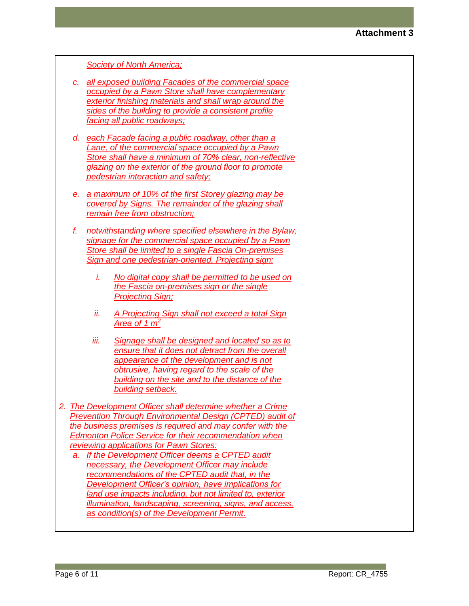|    | <b>Society of North America;</b>                                                                                                                                                                                                                                                                                                                                                                                                                                                                                                                                                                                                                                                           |  |
|----|--------------------------------------------------------------------------------------------------------------------------------------------------------------------------------------------------------------------------------------------------------------------------------------------------------------------------------------------------------------------------------------------------------------------------------------------------------------------------------------------------------------------------------------------------------------------------------------------------------------------------------------------------------------------------------------------|--|
| C. | all exposed building Facades of the commercial space<br>occupied by a Pawn Store shall have complementary<br>exterior finishing materials and shall wrap around the<br>sides of the building to provide a consistent profile<br>facing all public roadways;                                                                                                                                                                                                                                                                                                                                                                                                                                |  |
| d. | each Facade facing a public roadway, other than a<br>Lane, of the commercial space occupied by a Pawn<br>Store shall have a minimum of 70% clear, non-reflective<br>glazing on the exterior of the ground floor to promote<br>pedestrian interaction and safety;                                                                                                                                                                                                                                                                                                                                                                                                                           |  |
| e. | a maximum of 10% of the first Storey glazing may be<br>covered by Signs. The remainder of the glazing shall<br>remain free from obstruction;                                                                                                                                                                                                                                                                                                                                                                                                                                                                                                                                               |  |
| f. | notwithstanding where specified elsewhere in the Bylaw,<br>signage for the commercial space occupied by a Pawn<br>Store shall be limited to a single Fascia On-premises<br>Sign and one pedestrian-oriented, Projecting sign:                                                                                                                                                                                                                                                                                                                                                                                                                                                              |  |
|    | i.<br>No digital copy shall be permitted to be used on<br>the Fascia on-premises sign or the single<br><b>Projecting Sign;</b>                                                                                                                                                                                                                                                                                                                                                                                                                                                                                                                                                             |  |
|    | ii.<br>A Projecting Sign shall not exceed a total Sign<br>Area of 1 $m2$                                                                                                                                                                                                                                                                                                                                                                                                                                                                                                                                                                                                                   |  |
|    | iii.<br>Signage shall be designed and located so as to<br>ensure that it does not detract from the overall<br>appearance of the development and is not<br>obtrusive, having regard to the scale of the<br>building on the site and to the distance of the<br>building setback.                                                                                                                                                                                                                                                                                                                                                                                                             |  |
| a. | 2. The Development Officer shall determine whether a Crime<br><b>Prevention Through Environmental Design (CPTED) audit of</b><br>the business premises is required and may confer with the<br><b>Edmonton Police Service for their recommendation when</b><br>reviewing applications for Pawn Stores:<br>If the Development Officer deems a CPTED audit<br>necessary, the Development Officer may include<br>recommendations of the CPTED audit that, in the<br>Development Officer's opinion, have implications for<br>land use impacts including, but not limited to, exterior<br>illumination, landscaping, screening, signs, and access,<br>as condition(s) of the Development Permit. |  |
|    |                                                                                                                                                                                                                                                                                                                                                                                                                                                                                                                                                                                                                                                                                            |  |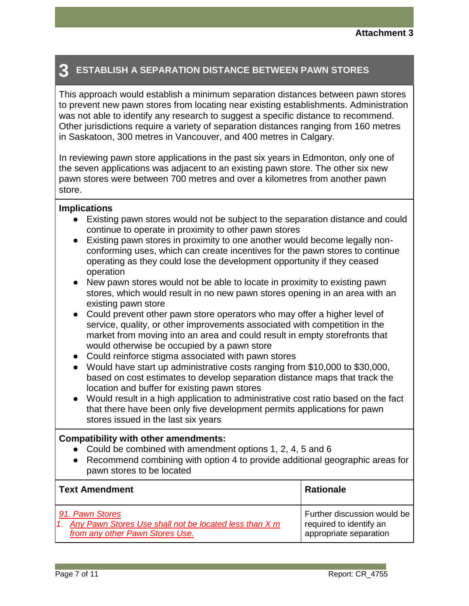# **3 ESTABLISH A SEPARATION DISTANCE BETWEEN PAWN STORES**

This approach would establish a minimum separation distances between pawn stores to prevent new pawn stores from locating near existing establishments. Administration was not able to identify any research to suggest a specific distance to recommend. Other jurisdictions require a variety of separation distances ranging from 160 metres in Saskatoon, 300 metres in Vancouver, and 400 metres in Calgary.

In reviewing pawn store applications in the past six years in Edmonton, only one of the seven applications was adjacent to an existing pawn store. The other six new pawn stores were between 700 metres and over a kilometres from another pawn store.

### **Implications**

- Existing pawn stores would not be subject to the separation distance and could continue to operate in proximity to other pawn stores
- Existing pawn stores in proximity to one another would become legally nonconforming uses, which can create incentives for the pawn stores to continue operating as they could lose the development opportunity if they ceased operation
- New pawn stores would not be able to locate in proximity to existing pawn stores, which would result in no new pawn stores opening in an area with an existing pawn store
- Could prevent other pawn store operators who may offer a higher level of service, quality, or other improvements associated with competition in the market from moving into an area and could result in empty storefronts that would otherwise be occupied by a pawn store
- Could reinforce stigma associated with pawn stores
- Would have start up administrative costs ranging from \$10,000 to \$30,000, based on cost estimates to develop separation distance maps that track the location and buffer for existing pawn stores
- Would result in a high application to administrative cost ratio based on the fact that there have been only five development permits applications for pawn stores issued in the last six years

### **Compatibility with other amendments:**

- Could be combined with amendment options 1, 2, 4, 5 and 6
- Recommend combining with option 4 to provide additional geographic areas for pawn stores to be located

| <b>Text Amendment</b>                                     | <b>Rationale</b>            |
|-----------------------------------------------------------|-----------------------------|
| 91. Pawn Stores                                           | Further discussion would be |
| 1. Any Pawn Stores Use shall not be located less than X m | required to identify an     |
| from any other Pawn Stores Use.                           | appropriate separation      |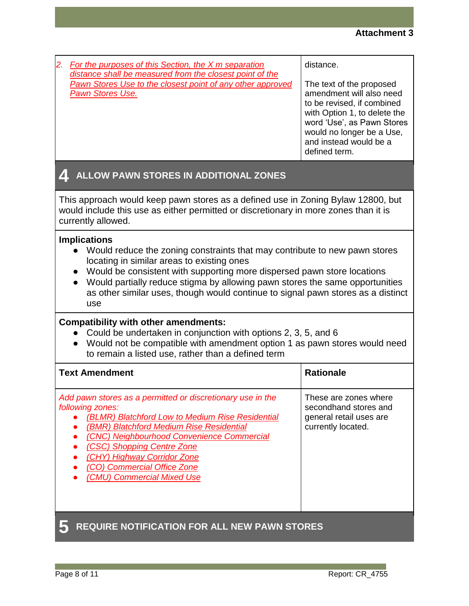| For the purposes of this Section, the X m separation<br>distance shall be measured from the closest point of the<br>Pawn Stores Use to the closest point of any other approved<br><b>Pawn Stores Use.</b>                                                                                                                                                                                                                       | distance.<br>The text of the proposed<br>amendment will also need<br>to be revised, if combined<br>with Option 1, to delete the<br>word 'Use', as Pawn Stores<br>would no longer be a Use,<br>and instead would be a<br>defined term. |  |  |
|---------------------------------------------------------------------------------------------------------------------------------------------------------------------------------------------------------------------------------------------------------------------------------------------------------------------------------------------------------------------------------------------------------------------------------|---------------------------------------------------------------------------------------------------------------------------------------------------------------------------------------------------------------------------------------|--|--|
| ALLOW PAWN STORES IN ADDITIONAL ZONES<br><b>AL</b>                                                                                                                                                                                                                                                                                                                                                                              |                                                                                                                                                                                                                                       |  |  |
| This approach would keep pawn stores as a defined use in Zoning Bylaw 12800, but<br>would include this use as either permitted or discretionary in more zones than it is<br>currently allowed.                                                                                                                                                                                                                                  |                                                                                                                                                                                                                                       |  |  |
| <b>Implications</b><br>Would reduce the zoning constraints that may contribute to new pawn stores<br>locating in similar areas to existing ones<br>Would be consistent with supporting more dispersed pawn store locations<br>$\bullet$<br>Would partially reduce stigma by allowing pawn stores the same opportunities<br>$\bullet$<br>as other similar uses, though would continue to signal pawn stores as a distinct<br>use |                                                                                                                                                                                                                                       |  |  |
| <b>Compatibility with other amendments:</b><br>Could be undertaken in conjunction with options 2, 3, 5, and 6<br>Would not be compatible with amendment option 1 as pawn stores would need<br>to remain a listed use, rather than a defined term                                                                                                                                                                                |                                                                                                                                                                                                                                       |  |  |
| <b>Text Amendment</b>                                                                                                                                                                                                                                                                                                                                                                                                           | <b>Rationale</b>                                                                                                                                                                                                                      |  |  |
| Add pawn stores as a permitted or discretionary use in the<br>following zones:<br>(BLMR) Blatchford Low to Medium Rise Residential<br>(BMR) Blatchford Medium Rise Residential<br>(CNC) Neighbourhood Convenience Commercial<br>(CSC) Shopping Centre Zone<br>(CHY) Highway Corridor Zone<br>(CO) Commercial Office Zone<br>(CMU) Commercial Mixed Use                                                                          | These are zones where<br>secondhand stores and<br>general retail uses are<br>currently located.                                                                                                                                       |  |  |
| <b>REQUIRE NOTIFICATION FOR ALL NEW PAWN STORES</b>                                                                                                                                                                                                                                                                                                                                                                             |                                                                                                                                                                                                                                       |  |  |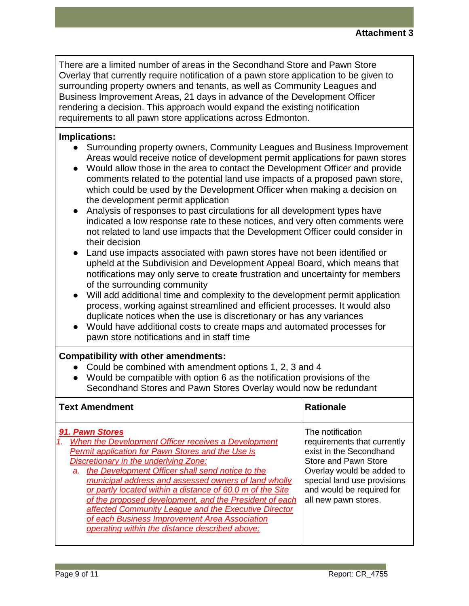There are a limited number of areas in the Secondhand Store and Pawn Store Overlay that currently require notification of a pawn store application to be given to surrounding property owners and tenants, as well as Community Leagues and Business Improvement Areas, 21 days in advance of the Development Officer rendering a decision. This approach would expand the existing notification requirements to all pawn store applications across Edmonton.

### **Implications:**

- Surrounding property owners, Community Leagues and Business Improvement Areas would receive notice of development permit applications for pawn stores
- Would allow those in the area to contact the Development Officer and provide comments related to the potential land use impacts of a proposed pawn store, which could be used by the Development Officer when making a decision on the development permit application
- Analysis of responses to past circulations for all development types have indicated a low response rate to these notices, and very often comments were not related to land use impacts that the Development Officer could consider in their decision
- Land use impacts associated with pawn stores have not been identified or upheld at the Subdivision and Development Appeal Board, which means that notifications may only serve to create frustration and uncertainty for members of the surrounding community
- Will add additional time and complexity to the development permit application process, working against streamlined and efficient processes. It would also duplicate notices when the use is discretionary or has any variances
- Would have additional costs to create maps and automated processes for pawn store notifications and in staff time

### **Compatibility with other amendments:**

- Could be combined with amendment options 1, 2, 3 and 4
- Would be compatible with option 6 as the notification provisions of the Secondhand Stores and Pawn Stores Overlay would now be redundant

| <b>Text Amendment</b>                                                                                                                                                                                                                                                                                                                                                                                                                                                                                                                                                           | <b>Rationale</b>                                                                                                                                                                                                    |
|---------------------------------------------------------------------------------------------------------------------------------------------------------------------------------------------------------------------------------------------------------------------------------------------------------------------------------------------------------------------------------------------------------------------------------------------------------------------------------------------------------------------------------------------------------------------------------|---------------------------------------------------------------------------------------------------------------------------------------------------------------------------------------------------------------------|
| 91. Pawn Stores<br>When the Development Officer receives a Development<br><b>Permit application for Pawn Stores and the Use is</b><br>Discretionary in the underlying Zone:<br>the Development Officer shall send notice to the<br>a.<br>municipal address and assessed owners of land wholly<br>or partly located within a distance of 60.0 m of the Site<br>of the proposed development, and the President of each<br>affected Community League and the Executive Director<br>of each Business Improvement Area Association<br>operating within the distance described above; | The notification<br>requirements that currently<br>exist in the Secondhand<br>Store and Pawn Store<br>Overlay would be added to<br>special land use provisions<br>and would be required for<br>all new pawn stores. |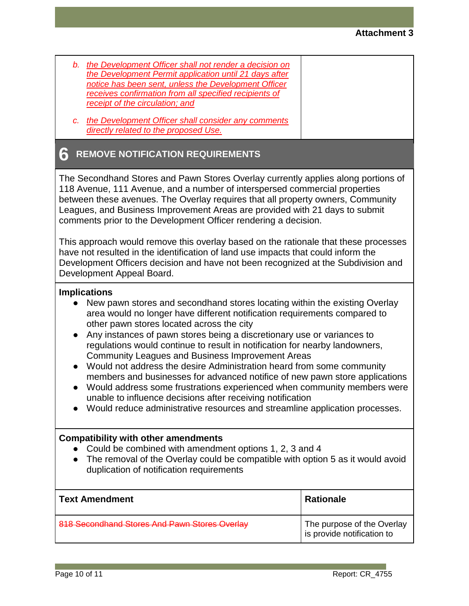| b. | the Development Officer shall not render a decision on |
|----|--------------------------------------------------------|
|    | the Development Permit application until 21 days after |
|    | notice has been sent, unless the Development Officer   |
|    | receives confirmation from all specified recipients of |
|    | receipt of the circulation; and                        |
|    |                                                        |

*c. the Development Officer shall consider any comments directly related to the proposed Use.*

### **6 REMOVE NOTIFICATION REQUIREMENTS**

The Secondhand Stores and Pawn Stores Overlay currently applies along portions of 118 Avenue, 111 Avenue, and a number of interspersed commercial properties between these avenues. The Overlay requires that all property owners, Community Leagues, and Business Improvement Areas are provided with 21 days to submit comments prior to the Development Officer rendering a decision.

This approach would remove this overlay based on the rationale that these processes have not resulted in the identification of land use impacts that could inform the Development Officers decision and have not been recognized at the Subdivision and Development Appeal Board.

### **Implications**

- New pawn stores and secondhand stores locating within the existing Overlay area would no longer have different notification requirements compared to other pawn stores located across the city
- Any instances of pawn stores being a discretionary use or variances to regulations would continue to result in notification for nearby landowners, Community Leagues and Business Improvement Areas
- Would not address the desire Administration heard from some community members and businesses for advanced notifice of new pawn store applications
- Would address some frustrations experienced when community members were unable to influence decisions after receiving notification
- Would reduce administrative resources and streamline application processes.

### **Compatibility with other amendments**

- Could be combined with amendment options 1, 2, 3 and 4
- The removal of the Overlay could be compatible with option 5 as it would avoid duplication of notification requirements

| <b>Text Amendment</b>                         | <b>Rationale</b>                                         |
|-----------------------------------------------|----------------------------------------------------------|
| 818 Secondhand Stores And Pawn Stores Overlay | The purpose of the Overlay<br>is provide notification to |